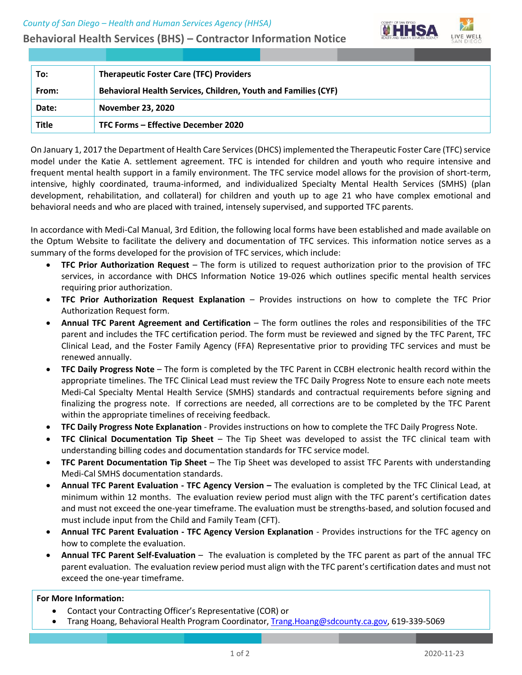**Behavioral Health Services (BHS) – Contractor Information Notice**



| To:   | <b>Therapeutic Foster Care (TFC) Providers</b>                 |
|-------|----------------------------------------------------------------|
| From: | Behavioral Health Services, Children, Youth and Families (CYF) |
| Date: | <b>November 23, 2020</b>                                       |
| Title | TFC Forms - Effective December 2020                            |

On January 1, 2017 the Department of Health Care Services (DHCS) implemented the Therapeutic Foster Care (TFC) service model under the Katie A. settlement agreement. TFC is intended for children and youth who require intensive and frequent mental health support in a family environment. The TFC service model allows for the provision of short-term, intensive, highly coordinated, trauma-informed, and individualized Specialty Mental Health Services (SMHS) (plan development, rehabilitation, and collateral) for children and youth up to age 21 who have complex emotional and behavioral needs and who are placed with trained, intensely supervised, and supported TFC parents.

In accordance with Medi-Cal Manual, 3rd Edition, the following local forms have been established and made available on the Optum Website to facilitate the delivery and documentation of TFC services. This information notice serves as a summary of the forms developed for the provision of TFC services, which include:

- **TFC Prior Authorization Request** The form is utilized to request authorization prior to the provision of TFC services, in accordance with DHCS Information Notice 19-026 which outlines specific mental health services requiring prior authorization.
- **TFC Prior Authorization Request Explanation** Provides instructions on how to complete the TFC Prior Authorization Request form.
- **Annual TFC Parent Agreement and Certification** The form outlines the roles and responsibilities of the TFC parent and includes the TFC certification period. The form must be reviewed and signed by the TFC Parent, TFC Clinical Lead, and the Foster Family Agency (FFA) Representative prior to providing TFC services and must be renewed annually.
- **TFC Daily Progress Note** The form is completed by the TFC Parent in CCBH electronic health record within the appropriate timelines. The TFC Clinical Lead must review the TFC Daily Progress Note to ensure each note meets Medi-Cal Specialty Mental Health Service (SMHS) standards and contractual requirements before signing and finalizing the progress note. If corrections are needed, all corrections are to be completed by the TFC Parent within the appropriate timelines of receiving feedback.
- **TFC Daily Progress Note Explanation** Provides instructions on how to complete the TFC Daily Progress Note.
- **TFC Clinical Documentation Tip Sheet** The Tip Sheet was developed to assist the TFC clinical team with understanding billing codes and documentation standards for TFC service model.
- **TFC Parent Documentation Tip Sheet** The Tip Sheet was developed to assist TFC Parents with understanding Medi-Cal SMHS documentation standards.
- **Annual TFC Parent Evaluation - TFC Agency Version –** The evaluation is completed by the TFC Clinical Lead, at minimum within 12 months. The evaluation review period must align with the TFC parent's certification dates and must not exceed the one-year timeframe. The evaluation must be strengths-based, and solution focused and must include input from the Child and Family Team (CFT).
- **Annual TFC Parent Evaluation - TFC Agency Version Explanation**  Provides instructions for the TFC agency on how to complete the evaluation.
- **Annual TFC Parent Self-Evaluation** The evaluation is completed by the TFC parent as part of the annual TFC parent evaluation. The evaluation review period must align with the TFC parent's certification dates and must not exceed the one-year timeframe.

# **For More Information:**

- Contact your Contracting Officer's Representative (COR) or
- Trang Hoang, Behavioral Health Program Coordinator, [Trang.Hoang@sdcounty.ca.gov,](mailto:Trang.Hoang@sdcounty.ca.gov) 619-339-5069